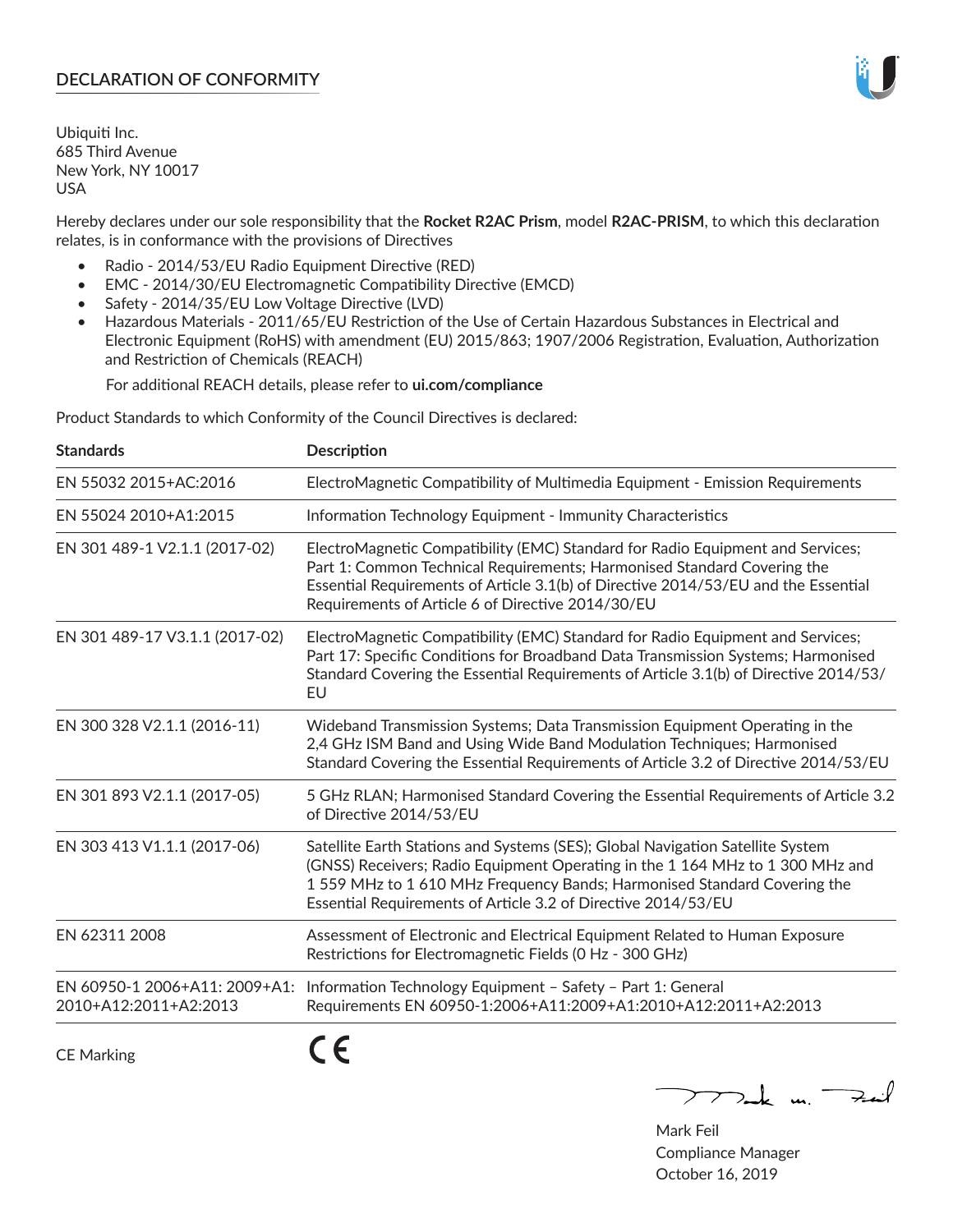# **DECLARATION OF CONFORMITY**

Ubiquiti Inc. 685 Third Avenue New York, NY 10017 USA

Hereby declares under our sole responsibility that the **Rocket R2AC Prism**, model **R2AC-PRISM**, to which this declaration relates, is in conformance with the provisions of Directives

- Radio 2014/53/EU Radio Equipment Directive (RED)
- EMC 2014/30/EU Electromagnetic Compatibility Directive (EMCD)
- Safety 2014/35/EU Low Voltage Directive (LVD)
- Hazardous Materials 2011/65/EU Restriction of the Use of Certain Hazardous Substances in Electrical and Electronic Equipment (RoHS) with amendment (EU) 2015/863; 1907/2006 Registration, Evaluation, Authorization and Restriction of Chemicals (REACH)

For additional REACH details, please refer to **ui.com/compliance**

Product Standards to which Conformity of the Council Directives is declared:

| <b>Standards</b>               | <b>Description</b>                                                                                                                                                                                                                                                                                         |
|--------------------------------|------------------------------------------------------------------------------------------------------------------------------------------------------------------------------------------------------------------------------------------------------------------------------------------------------------|
| EN 55032 2015+AC:2016          | ElectroMagnetic Compatibility of Multimedia Equipment - Emission Requirements                                                                                                                                                                                                                              |
| EN 55024 2010+A1:2015          | Information Technology Equipment - Immunity Characteristics                                                                                                                                                                                                                                                |
| EN 301 489-1 V2.1.1 (2017-02)  | ElectroMagnetic Compatibility (EMC) Standard for Radio Equipment and Services;<br>Part 1: Common Technical Requirements; Harmonised Standard Covering the<br>Essential Requirements of Article 3.1(b) of Directive 2014/53/EU and the Essential<br>Requirements of Article 6 of Directive 2014/30/EU       |
| EN 301 489-17 V3.1.1 (2017-02) | ElectroMagnetic Compatibility (EMC) Standard for Radio Equipment and Services;<br>Part 17: Specific Conditions for Broadband Data Transmission Systems; Harmonised<br>Standard Covering the Essential Requirements of Article 3.1(b) of Directive 2014/53/<br>EU                                           |
| EN 300 328 V2.1.1 (2016-11)    | Wideband Transmission Systems; Data Transmission Equipment Operating in the<br>2,4 GHz ISM Band and Using Wide Band Modulation Techniques; Harmonised<br>Standard Covering the Essential Requirements of Article 3.2 of Directive 2014/53/EU                                                               |
| EN 301 893 V2.1.1 (2017-05)    | 5 GHz RLAN; Harmonised Standard Covering the Essential Requirements of Article 3.2<br>of Directive 2014/53/EU                                                                                                                                                                                              |
| EN 303 413 V1.1.1 (2017-06)    | Satellite Earth Stations and Systems (SES); Global Navigation Satellite System<br>(GNSS) Receivers; Radio Equipment Operating in the 1 164 MHz to 1 300 MHz and<br>1559 MHz to 1610 MHz Frequency Bands; Harmonised Standard Covering the<br>Essential Requirements of Article 3.2 of Directive 2014/53/EU |
| EN 62311 2008                  | Assessment of Electronic and Electrical Equipment Related to Human Exposure<br>Restrictions for Electromagnetic Fields (0 Hz - 300 GHz)                                                                                                                                                                    |
| 2010+A12:2011+A2:2013          | EN 60950-1 2006+A11: 2009+A1: Information Technology Equipment - Safety - Part 1: General<br>Requirements EN 60950-1:2006+A11:2009+A1:2010+A12:2011+A2:2013                                                                                                                                                |
|                                | - -                                                                                                                                                                                                                                                                                                        |

CE Marking

**CE** 

Mak m. Fail

Mark Feil Compliance Manager October 16, 2019

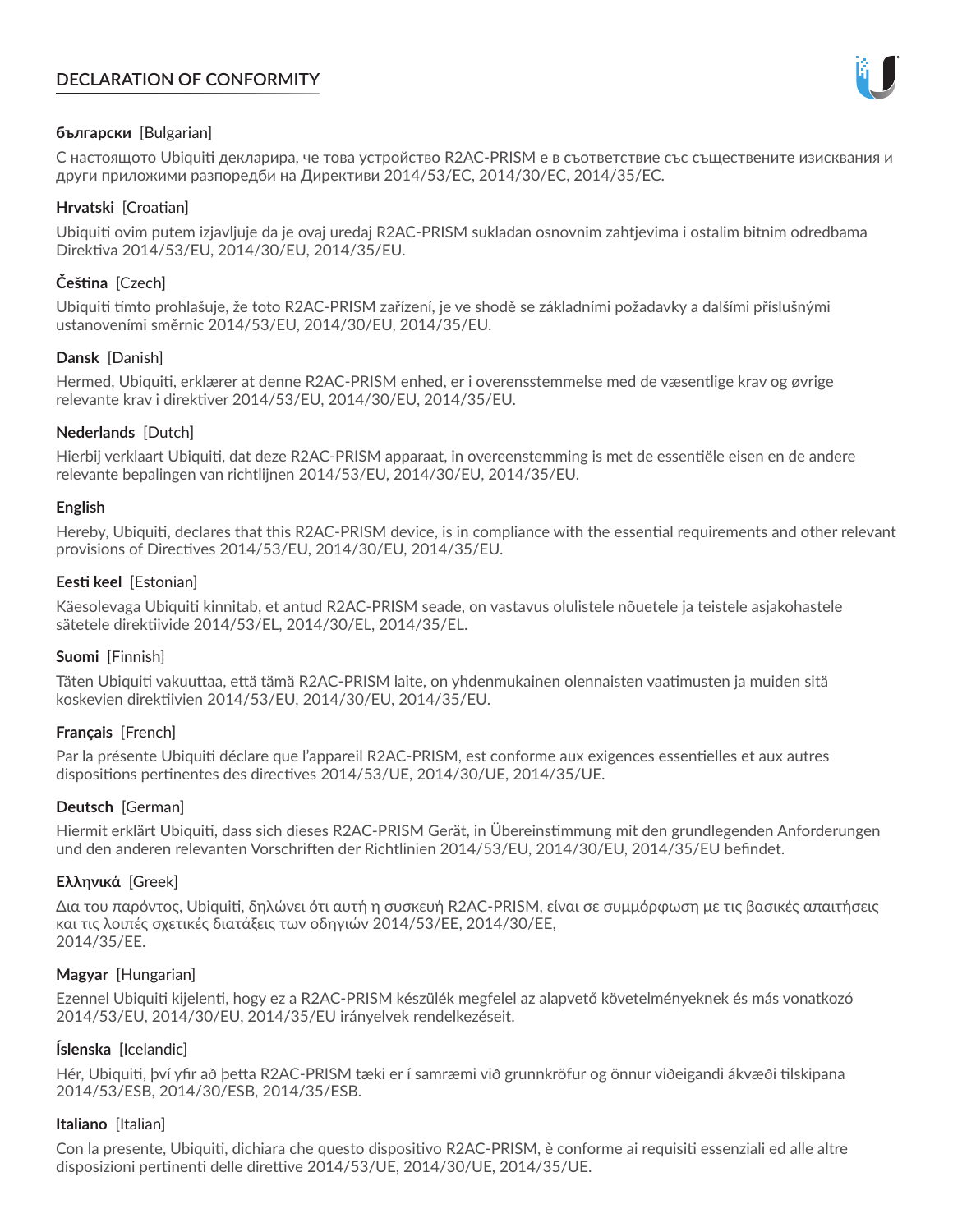# **DECLARATION OF CONFORMITY**



## **български** [Bulgarian]

С настоящото Ubiquiti декларира, че това устройство R2AC-PRISM е в съответствие със съществените изисквания и други приложими разпоредби на Директиви 2014/53/EC, 2014/30/ЕС, 2014/35/ЕС.

## **Hrvatski** [Croatian]

Ubiquiti ovim putem izjavljuje da je ovaj uređaj R2AC-PRISM sukladan osnovnim zahtjevima i ostalim bitnim odredbama Direktiva 2014/53/EU, 2014/30/EU, 2014/35/EU.

# **Čeština** [Czech]

Ubiquiti tímto prohlašuje, že toto R2AC-PRISM zařízení, je ve shodě se základními požadavky a dalšími příslušnými ustanoveními směrnic 2014/53/EU, 2014/30/EU, 2014/35/EU.

## **Dansk** [Danish]

Hermed, Ubiquiti, erklærer at denne R2AC-PRISM enhed, er i overensstemmelse med de væsentlige krav og øvrige relevante krav i direktiver 2014/53/EU, 2014/30/EU, 2014/35/EU.

## **Nederlands** [Dutch]

Hierbij verklaart Ubiquiti, dat deze R2AC-PRISM apparaat, in overeenstemming is met de essentiële eisen en de andere relevante bepalingen van richtlijnen 2014/53/EU, 2014/30/EU, 2014/35/EU.

## **English**

Hereby, Ubiquiti, declares that this R2AC-PRISM device, is in compliance with the essential requirements and other relevant provisions of Directives 2014/53/EU, 2014/30/EU, 2014/35/EU.

## **Eesti keel** [Estonian]

Käesolevaga Ubiquiti kinnitab, et antud R2AC-PRISM seade, on vastavus olulistele nõuetele ja teistele asjakohastele sätetele direktiivide 2014/53/EL, 2014/30/EL, 2014/35/EL.

## **Suomi** [Finnish]

Täten Ubiquiti vakuuttaa, että tämä R2AC-PRISM laite, on yhdenmukainen olennaisten vaatimusten ja muiden sitä koskevien direktiivien 2014/53/EU, 2014/30/EU, 2014/35/EU.

## **Français** [French]

Par la présente Ubiquiti déclare que l'appareil R2AC-PRISM, est conforme aux exigences essentielles et aux autres dispositions pertinentes des directives 2014/53/UE, 2014/30/UE, 2014/35/UE.

## **Deutsch** [German]

Hiermit erklärt Ubiquiti, dass sich dieses R2AC-PRISM Gerät, in Übereinstimmung mit den grundlegenden Anforderungen und den anderen relevanten Vorschriften der Richtlinien 2014/53/EU, 2014/30/EU, 2014/35/EU befindet.

## **Ελληνικά** [Greek]

Δια του παρόντος, Ubiquiti, δηλώνει ότι αυτή η συσκευή R2AC-PRISM, είναι σε συμμόρφωση με τις βασικές απαιτήσεις και τις λοιπές σχετικές διατάξεις των οδηγιών 2014/53/EE, 2014/30/EE, 2014/35/EE.

## **Magyar** [Hungarian]

Ezennel Ubiquiti kijelenti, hogy ez a R2AC-PRISM készülék megfelel az alapvető követelményeknek és más vonatkozó 2014/53/EU, 2014/30/EU, 2014/35/EU irányelvek rendelkezéseit.

## **Íslenska** [Icelandic]

Hér, Ubiquiti, því yfir að þetta R2AC-PRISM tæki er í samræmi við grunnkröfur og önnur viðeigandi ákvæði tilskipana 2014/53/ESB, 2014/30/ESB, 2014/35/ESB.

## **Italiano** [Italian]

Con la presente, Ubiquiti, dichiara che questo dispositivo R2AC-PRISM, è conforme ai requisiti essenziali ed alle altre disposizioni pertinenti delle direttive 2014/53/UE, 2014/30/UE, 2014/35/UE.